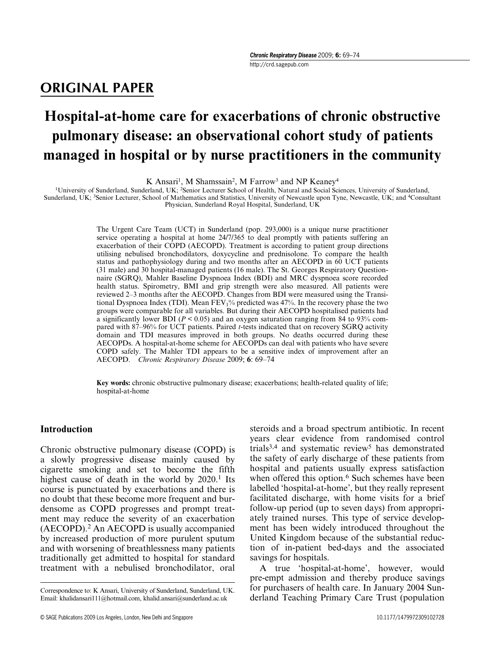http://crd.sagepub.com

## ORIGINAL PAPER

# Hospital-at-home care for exacerbations of chronic obstructive pulmonary disease: an observational cohort study of patients managed in hospital or by nurse practitioners in the community

K Ansari<sup>1</sup>, M Shamssain<sup>2</sup>, M Farrow<sup>3</sup> and NP Keaney<sup>4</sup>

<sup>1</sup>University of Sunderland, Sunderland, UK; <sup>2</sup>Senior Lecturer School of Health, Natural and Social Sciences, University of Sunderland, Sunderland, UK; <sup>3</sup>Senior Lecturer, School of Mathematics and Statistics, University of Newcastle upon Tyne, Newcastle, UK; and <sup>4</sup>Consultant Physician, Sunderland Royal Hospital, Sunderland, UK

> The Urgent Care Team (UCT) in Sunderland (pop. 293,000) is a unique nurse practitioner service operating a hospital at home 24/7/365 to deal promptly with patients suffering an exacerbation of their COPD (AECOPD). Treatment is according to patient group directions utilising nebulised bronchodilators, doxycycline and prednisolone. To compare the health status and pathophysiology during and two months after an AECOPD in 60 UCT patients (31 male) and 30 hospital-managed patients (16 male). The St. Georges Respiratory Questionnaire (SGRQ), Mahler Baseline Dyspnoea Index (BDI) and MRC dyspnoea score recorded health status. Spirometry, BMI and grip strength were also measured. All patients were reviewed 2–3 months after the AECOPD. Changes from BDI were measured using the Transitional Dyspnoea Index (TDI). Mean FEV<sub>1</sub>% predicted was 47%. In the recovery phase the two groups were comparable for all variables. But during their AECOPD hospitalised patients had a significantly lower BDI ( $P < 0.05$ ) and an oxygen saturation ranging from 84 to 93% compared with 87-96% for UCT patients. Paired t-tests indicated that on recovery SGRQ activity domain and TDI measures improved in both groups. No deaths occurred during these AECOPDs. A hospital-at-home scheme for AECOPDs can deal with patients who have severe COPD safely. The Mahler TDI appears to be a sensitive index of improvement after an AECOPD. Chronic Respiratory Disease 2009; 6: 69–74

> Key words: chronic obstructive pulmonary disease; exacerbations; health-related quality of life; hospital-at-home

#### Introduction

Chronic obstructive pulmonary disease (COPD) is a slowly progressive disease mainly caused by cigarette smoking and set to become the fifth highest cause of death in the world by 2020.<sup>1</sup> Its course is punctuated by exacerbations and there is no doubt that these become more frequent and burdensome as COPD progresses and prompt treatment may reduce the severity of an exacerbation (AECOPD).<sup>2</sup> An AECOPD is usually accompanied by increased production of more purulent sputum and with worsening of breathlessness many patients traditionally get admitted to hospital for standard treatment with a nebulised bronchodilator, oral steroids and a broad spectrum antibiotic. In recent years clear evidence from randomised control trials<sup>3,4</sup> and systematic review<sup>5</sup> has demonstrated the safety of early discharge of these patients from hospital and patients usually express satisfaction when offered this option.<sup>6</sup> Such schemes have been labelled 'hospital-at-home', but they really represent facilitated discharge, with home visits for a brief follow-up period (up to seven days) from appropriately trained nurses. This type of service development has been widely introduced throughout the United Kingdom because of the substantial reduction of in-patient bed-days and the associated savings for hospitals.

A true 'hospital-at-home', however, would pre-empt admission and thereby produce savings for purchasers of health care. In January 2004 Sunderland Teaching Primary Care Trust (population

Correspondence to: K Ansari, University of Sunderland, Sunderland, UK. Email: khalidansari111@hotmail.com, khalid.ansari@sunderland.ac.uk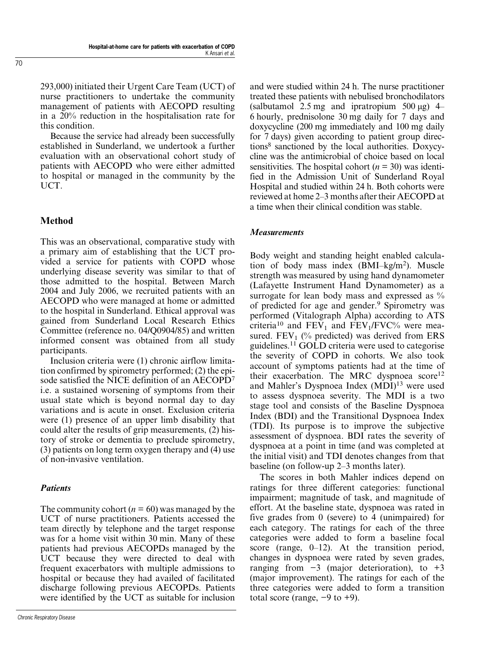293,000) initiated their Urgent Care Team (UCT) of nurse practitioners to undertake the community management of patients with AECOPD resulting in a 20% reduction in the hospitalisation rate for this condition.

Because the service had already been successfully established in Sunderland, we undertook a further evaluation with an observational cohort study of patients with AECOPD who were either admitted to hospital or managed in the community by the UCT.

## Method

This was an observational, comparative study with a primary aim of establishing that the UCT provided a service for patients with COPD whose underlying disease severity was similar to that of those admitted to the hospital. Between March 2004 and July 2006, we recruited patients with an AECOPD who were managed at home or admitted to the hospital in Sunderland. Ethical approval was gained from Sunderland Local Research Ethics Committee (reference no. 04/Q0904/85) and written informed consent was obtained from all study participants.

Inclusion criteria were (1) chronic airflow limitation confirmed by spirometry performed; (2) the episode satisfied the NICE definition of an AECOPD<sup>7</sup> i.e. a sustained worsening of symptoms from their usual state which is beyond normal day to day variations and is acute in onset. Exclusion criteria were (1) presence of an upper limb disability that could alter the results of grip measurements, (2) history of stroke or dementia to preclude spirometry, (3) patients on long term oxygen therapy and (4) use of non-invasive ventilation.

### **Patients**

The community cohort ( $n = 60$ ) was managed by the UCT of nurse practitioners. Patients accessed the team directly by telephone and the target response was for a home visit within 30 min. Many of these patients had previous AECOPDs managed by the UCT because they were directed to deal with frequent exacerbators with multiple admissions to hospital or because they had availed of facilitated discharge following previous AECOPDs. Patients were identified by the UCT as suitable for inclusion and were studied within 24 h. The nurse practitioner treated these patients with nebulised bronchodilators (salbutamol 2.5 mg and ipratropium  $500 \text{ µg}$ ) 4– 6 hourly, prednisolone 30 mg daily for 7 days and doxycycline (200 mg immediately and 100 mg daily for 7 days) given according to patient group directions<sup>8</sup> sanctioned by the local authorities. Doxycycline was the antimicrobial of choice based on local sensitivities. The hospital cohort ( $n = 30$ ) was identified in the Admission Unit of Sunderland Royal Hospital and studied within 24 h. Both cohorts were reviewed at home 2–3 months after their AECOPD at a time when their clinical condition was stable.

#### **Measurements**

Body weight and standing height enabled calculation of body mass index (BMI–kg/m<sup>2</sup> ). Muscle strength was measured by using hand dynamometer (Lafayette Instrument Hand Dynamometer) as a surrogate for lean body mass and expressed as % of predicted for age and gender.<sup>9</sup> Spirometry was performed (Vitalograph Alpha) according to ATS criteria<sup>10</sup> and  $FEV_1$  and  $FEV_1/FVC\%$  were measured.  $FEV_1$  (% predicted) was derived from ERS guidelines.<sup>11</sup> GOLD criteria were used to categorise the severity of COPD in cohorts. We also took account of symptoms patients had at the time of their exacerbation. The MRC dyspnoea score<sup>12</sup> and Mahler's Dyspnoea Index (MDI)<sup>13</sup> were used to assess dyspnoea severity. The MDI is a two stage tool and consists of the Baseline Dyspnoea Index (BDI) and the Transitional Dyspnoea Index (TDI). Its purpose is to improve the subjective assessment of dyspnoea. BDI rates the severity of dyspnoea at a point in time (and was completed at the initial visit) and TDI denotes changes from that baseline (on follow-up 2–3 months later).

The scores in both Mahler indices depend on ratings for three different categories: functional impairment; magnitude of task, and magnitude of effort. At the baseline state, dyspnoea was rated in five grades from 0 (severe) to 4 (unimpaired) for each category. The ratings for each of the three categories were added to form a baseline focal score (range, 0–12). At the transition period, changes in dyspnoea were rated by seven grades, ranging from  $-3$  (major deterioration), to  $+3$ (major improvement). The ratings for each of the three categories were added to form a transition total score (range,  $-9$  to  $+9$ ).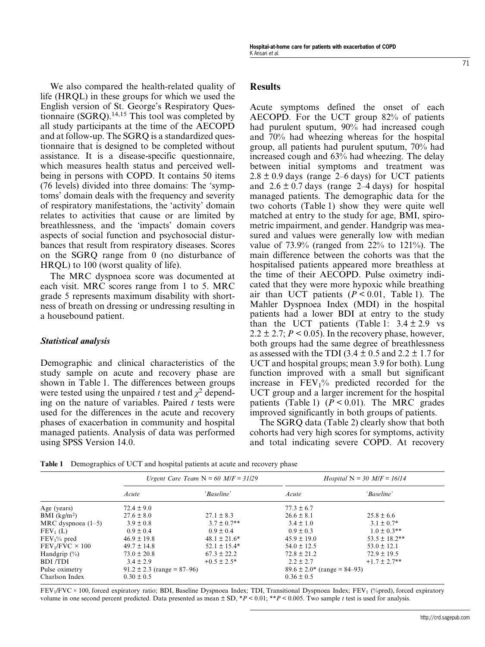We also compared the health-related quality of life (HRQL) in these groups for which we used the English version of St. George's Respiratory Questionnaire (SGRQ). $14,15$  This tool was completed by all study participants at the time of the AECOPD and at follow-up. The SGRQ is a standardized questionnaire that is designed to be completed without assistance. It is a disease-specific questionnaire, which measures health status and perceived wellbeing in persons with COPD. It contains 50 items (76 levels) divided into three domains: The 'symptoms' domain deals with the frequency and severity of respiratory manifestations, the 'activity' domain relates to activities that cause or are limited by breathlessness, and the 'impacts' domain covers aspects of social function and psychosocial disturbances that result from respiratory diseases. Scores on the SGRQ range from 0 (no disturbance of HRQL) to 100 (worst quality of life).

The MRC dyspnoea score was documented at each visit. MRC scores range from 1 to 5. MRC grade 5 represents maximum disability with shortness of breath on dressing or undressing resulting in a housebound patient.

#### Statistical analysis

Demographic and clinical characteristics of the study sample on acute and recovery phase are shown in Table 1. The differences between groups were tested using the unpaired t test and  $\chi^2$  depending on the nature of variables. Paired  $t$  tests were used for the differences in the acute and recovery phases of exacerbation in community and hospital managed patients. Analysis of data was performed using SPSS Version 14.0.

#### **Results**

Acute symptoms defined the onset of each AECOPD. For the UCT group 82% of patients had purulent sputum, 90% had increased cough and 70% had wheezing whereas for the hospital group, all patients had purulent sputum, 70% had increased cough and 63% had wheezing. The delay between initial symptoms and treatment was  $2.8 \pm 0.9$  days (range 2–6 days) for UCT patients and  $2.6 \pm 0.7$  days (range 2–4 days) for hospital managed patients. The demographic data for the two cohorts (Table 1) show they were quite well matched at entry to the study for age, BMI, spirometric impairment, and gender. Handgrip was measured and values were generally low with median value of  $73.9\%$  (ranged from  $22\%$  to  $121\%$ ). The main difference between the cohorts was that the hospitalised patients appeared more breathless at the time of their AECOPD. Pulse oximetry indicated that they were more hypoxic while breathing air than UCT patients  $(P < 0.01$ , Table 1). The Mahler Dyspnoea Index (MDI) in the hospital patients had a lower BDI at entry to the study than the UCT patients (Table 1:  $3.4 \pm 2.9$  vs  $2.2 \pm 2.7$ ;  $P < 0.05$ ). In the recovery phase, however, both groups had the same degree of breathlessness as assessed with the TDI (3.4  $\pm$  0.5 and 2.2  $\pm$  1.7 for UCT and hospital groups; mean 3.9 for both). Lung function improved with a small but significant increase in  $FEV<sub>1</sub>$ % predicted recorded for the UCT group and a larger increment for the hospital patients (Table 1)  $(P < 0.01)$ . The MRC grades improved significantly in both groups of patients.

The SGRQ data (Table 2) clearly show that both cohorts had very high scores for symptoms, activity and total indicating severe COPD. At recovery

Table 1 Demographics of UCT and hospital patients at acute and recovery phase

|                        | Urgent Care Team $N = 60$ M/F = 31/29 |                   | Hospital $N = 30$ M/F = 16/14    |                    |  |
|------------------------|---------------------------------------|-------------------|----------------------------------|--------------------|--|
|                        | Acute                                 | 'Baseline'        | Acute                            | 'Baseline'         |  |
| Age (years)            | $72.4 \pm 9.0$                        |                   | $77.3 \pm 6.7$                   |                    |  |
| BMI $(kg/m2)$          | $27.6 \pm 8.0$                        | $27.1 \pm 8.3$    | $26.6 \pm 8.1$                   | $25.8 \pm 6.6$     |  |
| MRC dyspnoea $(1-5)$   | $3.9 \pm 0.8$                         | $3.7 \pm 0.7$ **  | $3.4 \pm 1.0$                    | $3.1 \pm 0.7^*$    |  |
| $FEV_1(L)$             | $0.9 \pm 0.4$                         | $0.9 \pm 0.4$     | $0.9 \pm 0.3$                    | $1.0 \pm 0.3$ **   |  |
| $FEV1%$ pred           | $46.9 \pm 19.8$                       | $48.1 \pm 21.6^*$ | $45.9 \pm 19.0$                  | $53.5 \pm 18.2$ ** |  |
| $FEV_1/FVC \times 100$ | $49.7 \pm 14.8$                       | $52.1 \pm 15.4*$  | $54.0 \pm 12.5$                  | $53.0 \pm 12.1$    |  |
| Handgrip $(\% )$       | $73.0 \pm 20.8$                       | $67.3 \pm 22.2$   | $72.8 \pm 21.2$                  | $72.9 \pm 19.5$    |  |
| <b>BDI/TDI</b>         | $3.4 \pm 2.9$                         | $+0.5 \pm 2.5^*$  | $2.2 \pm 2.7$                    | $+1.7 \pm 2.7$ **  |  |
| Pulse oximetry         | $91.2 \pm 2.3$ (range = 87–96)        |                   | $89.6 \pm 2.0^*$ (range = 84–93) |                    |  |
| Charlson Index         | $0.30 \pm 0.5$                        |                   | $0.36 \pm 0.5$                   |                    |  |

FEV<sub>1</sub>/FVC × 100, forced expiratory ratio; BDI, Baseline Dyspnoea Index; TDI, Transitional Dyspnoea Index; FEV<sub>1</sub> (%pred), forced expiratory volume in one second percent predicted. Data presented as mean  $\pm$  SD, \*P < 0.01; \*\*P < 0.005. Two sample t test is used for analysis.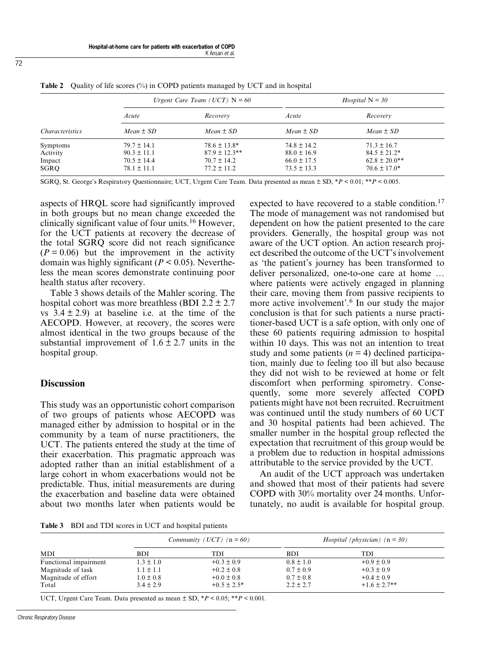|                                        | Urgent Care Team (UCT) $N = 60$                                          |                                                                               | $Hospital N = 30$                                                        |                                                                               |
|----------------------------------------|--------------------------------------------------------------------------|-------------------------------------------------------------------------------|--------------------------------------------------------------------------|-------------------------------------------------------------------------------|
|                                        | Acute                                                                    | Recovery                                                                      | Acute                                                                    | Recovery                                                                      |
| <i>Characteristics</i>                 | $Mean \pm SD$                                                            | $Mean \pm SD$                                                                 | $Mean \pm SD$                                                            | $Mean \pm SD$                                                                 |
| Symptoms<br>Activity<br>Impact<br>SGRQ | $79.7 \pm 14.1$<br>$90.3 \pm 11.1$<br>$70.5 \pm 14.4$<br>$78.1 \pm 11.1$ | $78.6 \pm 13.8^*$<br>$87.9 \pm 12.3$ **<br>$70.7 \pm 14.2$<br>$77.2 \pm 11.2$ | $74.8 \pm 14.2$<br>$88.0 \pm 16.9$<br>$66.0 \pm 17.5$<br>$73.5 \pm 13.3$ | $71.3 \pm 16.7$<br>$84.5 \pm 21.2*$<br>$62.8 \pm 20.0$ **<br>$70.6 \pm 17.0*$ |

**Table 2** Quality of life scores  $(\%)$  in COPD patients managed by UCT and in hospital

SGRQ, St. George's Respiratory Questionnaire; UCT, Urgent Care Team. Data presented as mean ± SD, \*P < 0.01; \*\*P < 0.005.

aspects of HRQL score had significantly improved in both groups but no mean change exceeded the clinically significant value of four units.<sup>16</sup> However, for the UCT patients at recovery the decrease of the total SGRQ score did not reach significance  $(P = 0.06)$  but the improvement in the activity domain was highly significant ( $P \le 0.05$ ). Nevertheless the mean scores demonstrate continuing poor health status after recovery.

Table 3 shows details of the Mahler scoring. The hospital cohort was more breathless (BDI  $2.2 \pm 2.7$ ) vs  $3.4 \pm 2.9$  at baseline i.e. at the time of the AECOPD. However, at recovery, the scores were almost identical in the two groups because of the substantial improvement of  $1.6 \pm 2.7$  units in the hospital group.

#### **Discussion**

This study was an opportunistic cohort comparison of two groups of patients whose AECOPD was managed either by admission to hospital or in the community by a team of nurse practitioners, the UCT. The patients entered the study at the time of their exacerbation. This pragmatic approach was adopted rather than an initial establishment of a large cohort in whom exacerbations would not be predictable. Thus, initial measurements are during the exacerbation and baseline data were obtained about two months later when patients would be

Table 3 BDI and TDI scores in UCT and hospital patients

expected to have recovered to a stable condition.<sup>17</sup> The mode of management was not randomised but dependent on how the patient presented to the care providers. Generally, the hospital group was not aware of the UCT option. An action research project described the outcome of the UCT's involvement as 'the patient's journey has been transformed to deliver personalized, one-to-one care at home … where patients were actively engaged in planning their care, moving them from passive recipients to more active involvement'. 6 In our study the major conclusion is that for such patients a nurse practitioner-based UCT is a safe option, with only one of these 60 patients requiring admission to hospital within 10 days. This was not an intention to treat study and some patients  $(n = 4)$  declined participation, mainly due to feeling too ill but also because they did not wish to be reviewed at home or felt discomfort when performing spirometry. Consequently, some more severely affected COPD patients might have not been recruited. Recruitment was continued until the study numbers of 60 UCT and 30 hospital patients had been achieved. The smaller number in the hospital group reflected the expectation that recruitment of this group would be a problem due to reduction in hospital admissions attributable to the service provided by the UCT.

An audit of the UCT approach was undertaken and showed that most of their patients had severe COPD with 30% mortality over 24 months. Unfortunately, no audit is available for hospital group.

| MDI                   | Community (UCT) $(n = 60)$ |                  | <i>Hospital</i> ( <i>physician</i> ) $(n = 30)$ |                   |
|-----------------------|----------------------------|------------------|-------------------------------------------------|-------------------|
|                       | BDI                        | TDI              | BDI                                             | TDI               |
| Functional impairment | $1.3 \pm 1.0$              | $+0.3 \pm 0.9$   | $0.8 \pm 1.0$                                   | $+0.9 \pm 0.9$    |
| Magnitude of task     | $1.1 \pm 1.1$              | $+0.2 \pm 0.8$   | $0.7 \pm 0.9$                                   | $+0.3 \pm 0.9$    |
| Magnitude of effort   | $1.0 \pm 0.8$              | $+0.0 \pm 0.8$   | $0.7 \pm 0.8$                                   | $+0.4 \pm 0.9$    |
| Total                 | $3.4 \pm 2.9$              | $+0.5 \pm 2.5^*$ | $2.2 \pm 2.7$                                   | $+1.6 \pm 2.7$ ** |

UCT, Urgent Care Team. Data presented as mean  $\pm$  SD,  $*P < 0.05$ ;  $**P < 0.001$ .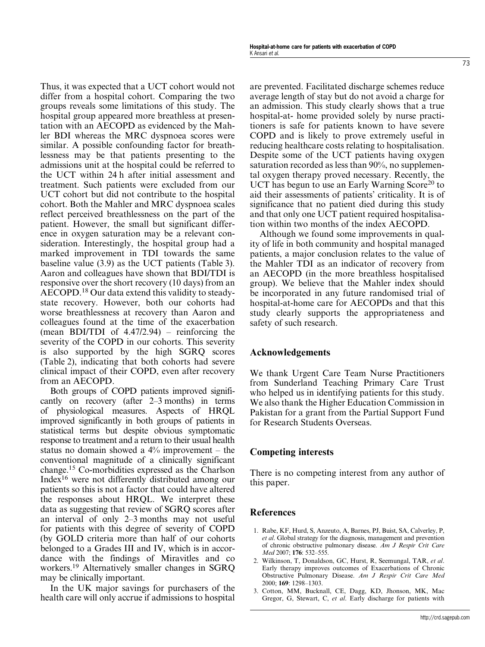Thus, it was expected that a UCT cohort would not differ from a hospital cohort. Comparing the two groups reveals some limitations of this study. The hospital group appeared more breathless at presentation with an AECOPD as evidenced by the Mahler BDI whereas the MRC dyspnoea scores were similar. A possible confounding factor for breathlessness may be that patients presenting to the admissions unit at the hospital could be referred to the UCT within 24 h after initial assessment and treatment. Such patients were excluded from our UCT cohort but did not contribute to the hospital cohort. Both the Mahler and MRC dyspnoea scales reflect perceived breathlessness on the part of the patient. However, the small but significant difference in oxygen saturation may be a relevant consideration. Interestingly, the hospital group had a marked improvement in TDI towards the same baseline value (3.9) as the UCT patients (Table 3). Aaron and colleagues have shown that BDI/TDI is responsive over the short recovery (10 days) from an AECOPD.<sup>18</sup> Our data extend this validity to steadystate recovery. However, both our cohorts had worse breathlessness at recovery than Aaron and colleagues found at the time of the exacerbation (mean BDI/TDI of 4.47/2.94) – reinforcing the severity of the COPD in our cohorts. This severity is also supported by the high SGRQ scores (Table 2), indicating that both cohorts had severe clinical impact of their COPD, even after recovery from an AECOPD.

Both groups of COPD patients improved significantly on recovery (after 2–3 months) in terms of physiological measures. Aspects of HRQL improved significantly in both groups of patients in statistical terms but despite obvious symptomatic response to treatment and a return to their usual health status no domain showed a 4% improvement – the conventional magnitude of a clinically significant change.<sup>15</sup> Co-morbidities expressed as the Charlson Index<sup>16</sup> were not differently distributed among our patients so this is not a factor that could have altered the responses about HRQL. We interpret these data as suggesting that review of SGRQ scores after an interval of only 2–3 months may not useful for patients with this degree of severity of COPD (by GOLD criteria more than half of our cohorts belonged to a Grades III and IV, which is in accordance with the findings of Miravitles and co workers.<sup>19</sup> Alternatively smaller changes in SGRQ may be clinically important.

In the UK major savings for purchasers of the health care will only accrue if admissions to hospital are prevented. Facilitated discharge schemes reduce average length of stay but do not avoid a charge for an admission. This study clearly shows that a true hospital-at- home provided solely by nurse practitioners is safe for patients known to have severe COPD and is likely to prove extremely useful in reducing healthcare costs relating to hospitalisation. Despite some of the UCT patients having oxygen saturation recorded as less than 90%, no supplemental oxygen therapy proved necessary. Recently, the UCT has begun to use an Early Warning Score<sup>20</sup> to aid their assessments of patients' criticality. It is of significance that no patient died during this study and that only one UCT patient required hospitalisation within two months of the index AECOPD.

Although we found some improvements in quality of life in both community and hospital managed patients, a major conclusion relates to the value of the Mahler TDI as an indicator of recovery from an AECOPD (in the more breathless hospitalised group). We believe that the Mahler index should be incorporated in any future randomised trial of hospital-at-home care for AECOPDs and that this study clearly supports the appropriateness and safety of such research.

## Acknowledgements

We thank Urgent Care Team Nurse Practitioners from Sunderland Teaching Primary Care Trust who helped us in identifying patients for this study. We also thank the Higher Education Commission in Pakistan for a grant from the Partial Support Fund for Research Students Overseas.

## Competing interests

There is no competing interest from any author of this paper.

## References

- 1. Rabe, KF, Hurd, S, Anzeuto, A, Barnes, PJ, Buist, SA, Calverley, P, et al. Global strategy for the diagnosis, management and prevention of chronic obstructive pulmonary disease. Am J Respir Crit Care Med 2007; 176: 532–555.
- 2. Wilkinson, T, Donaldson, GC, Hurst, R, Seemungal, TAR, et al. Early therapy improves outcomes of Exacerbations of Chronic Obstructive Pulmonary Disease. Am J Respir Crit Care Med 2000; 169: 1298–1303.
- 3. Cotton, MM, Bucknall, CE, Dagg, KD, Jhonson, MK, Mac Gregor, G, Stewart, C, et al. Early discharge for patients with